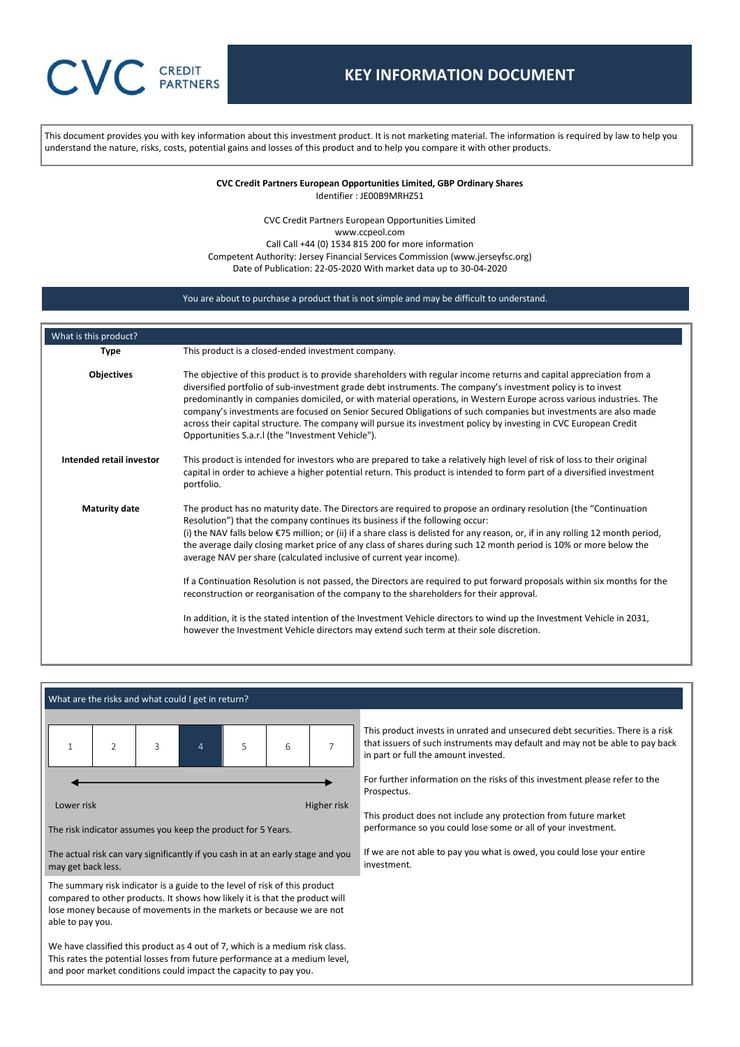# **CREDIT PARTNERS**

# **KEY INFORMATION DOCUMENT**

This document provides you with key information about this investment product. It is not marketing material. The information is required by law to help you understand the nature, risks, costs, potential gains and losses of this product and to help you compare it with other products.

> **CVC Credit Partners European Opportunities Limited, GBP Ordinary Shares** Identifier : JE00B9MRHZ51

CVC Credit Partners European Opportunities Limited www.ccpeol.com Call Call +44 (0) 1534 815 200 for more information Competent Authority: Jersey Financial Services Commission (www.jerseyfsc.org) Date of Publication: 22-05-2020 With market data up to 30-04-2020

# You are about to purchase a product that is not simple and may be difficult to understand.

| What is this product?    |                                                                                                                                                                                                                                                                                                                                                                                                                                                                                                                                                                                                                                                                                                                                                                                                                                                                                                                                                                                  |
|--------------------------|----------------------------------------------------------------------------------------------------------------------------------------------------------------------------------------------------------------------------------------------------------------------------------------------------------------------------------------------------------------------------------------------------------------------------------------------------------------------------------------------------------------------------------------------------------------------------------------------------------------------------------------------------------------------------------------------------------------------------------------------------------------------------------------------------------------------------------------------------------------------------------------------------------------------------------------------------------------------------------|
| <b>Type</b>              | This product is a closed-ended investment company.                                                                                                                                                                                                                                                                                                                                                                                                                                                                                                                                                                                                                                                                                                                                                                                                                                                                                                                               |
| Objectives               | The objective of this product is to provide shareholders with regular income returns and capital appreciation from a<br>diversified portfolio of sub-investment grade debt instruments. The company's investment policy is to invest<br>predominantly in companies domiciled, or with material operations, in Western Europe across various industries. The<br>company's investments are focused on Senior Secured Obligations of such companies but investments are also made<br>across their capital structure. The company will pursue its investment policy by investing in CVC European Credit<br>Opportunities S.a.r.I (the "Investment Vehicle").                                                                                                                                                                                                                                                                                                                         |
| Intended retail investor | This product is intended for investors who are prepared to take a relatively high level of risk of loss to their original<br>capital in order to achieve a higher potential return. This product is intended to form part of a diversified investment<br>portfolio.                                                                                                                                                                                                                                                                                                                                                                                                                                                                                                                                                                                                                                                                                                              |
| <b>Maturity date</b>     | The product has no maturity date. The Directors are required to propose an ordinary resolution (the "Continuation<br>Resolution") that the company continues its business if the following occur:<br>(i) the NAV falls below €75 million; or (ii) if a share class is delisted for any reason, or, if in any rolling 12 month period,<br>the average daily closing market price of any class of shares during such 12 month period is 10% or more below the<br>average NAV per share (calculated inclusive of current year income).<br>If a Continuation Resolution is not passed, the Directors are required to put forward proposals within six months for the<br>reconstruction or reorganisation of the company to the shareholders for their approval.<br>In addition, it is the stated intention of the Investment Vehicle directors to wind up the Investment Vehicle in 2031,<br>however the Investment Vehicle directors may extend such term at their sole discretion. |
|                          |                                                                                                                                                                                                                                                                                                                                                                                                                                                                                                                                                                                                                                                                                                                                                                                                                                                                                                                                                                                  |

# What are the risks and what could I get in return?

|            | $\overline{\phantom{a}}$ | 3 | $\overline{4}$ | 5 | 6 |             |
|------------|--------------------------|---|----------------|---|---|-------------|
| Lower risk |                          |   |                |   |   | Higher risk |

The risk indicator assumes you keep the product for 5 Years.

The actual risk can vary significantly if you cash in at an early stage and you may get back less.

The summary risk indicator is a guide to the level of risk of this product compared to other products. It shows how likely it is that the product will lose money because of movements in the markets or because we are not able to pay you.

We have classified this product as 4 out of 7, which is a medium risk class. This rates the potential losses from future performance at a medium level, and poor market conditions could impact the capacity to pay you.

This product invests in unrated and unsecured debt securities. There is a risk that issuers of such instruments may default and may not be able to pay back in part or full the amount invested.

For further information on the risks of this investment please refer to the Prospectus.

This product does not include any protection from future market performance so you could lose some or all of your investment.

If we are not able to pay you what is owed, you could lose your entire investment.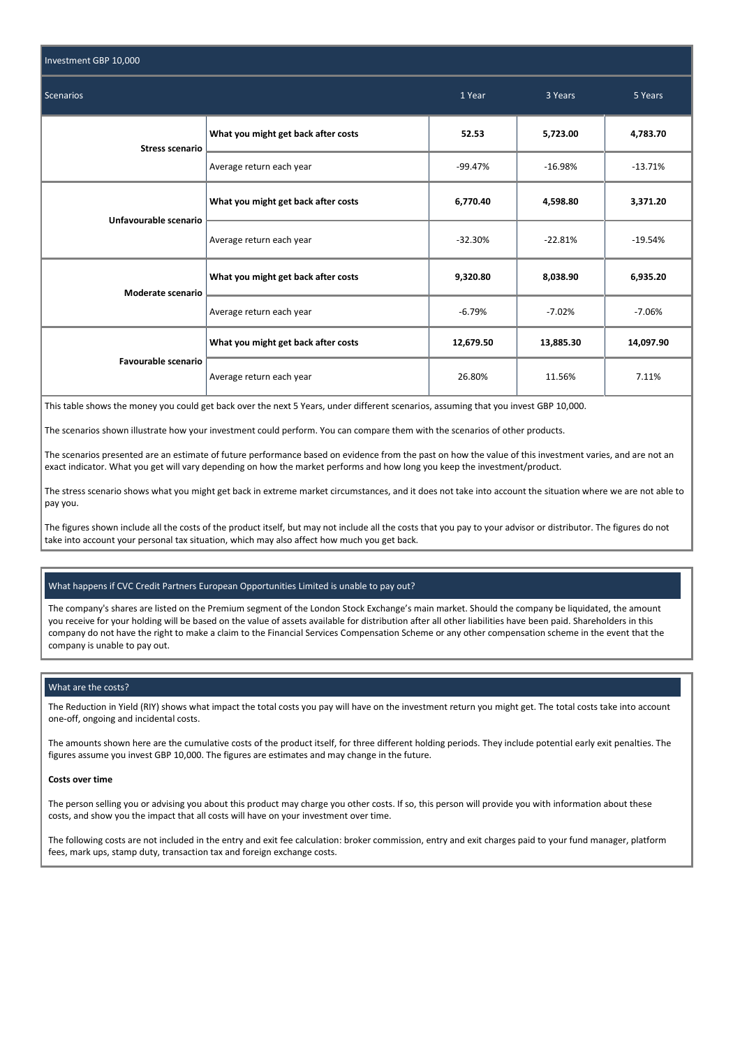| Investment GBP 10,000  |                                     |           |           |           |
|------------------------|-------------------------------------|-----------|-----------|-----------|
| <b>Scenarios</b>       | 1 Year                              | 3 Years   | 5 Years   |           |
| <b>Stress scenario</b> | What you might get back after costs | 52.53     | 5,723.00  | 4,783.70  |
|                        | Average return each year            | $-99.47%$ | $-16.98%$ | $-13.71%$ |
| Unfavourable scenario  | What you might get back after costs | 6,770.40  | 4,598.80  | 3,371.20  |
|                        | Average return each year            | $-32.30%$ | $-22.81%$ | $-19.54%$ |
| Moderate scenario      | What you might get back after costs | 9,320.80  | 8,038.90  | 6,935.20  |
|                        | Average return each year            | $-6.79%$  | $-7.02%$  | $-7.06%$  |
| Favourable scenario    | What you might get back after costs | 12,679.50 | 13,885.30 | 14,097.90 |
|                        | Average return each year            | 26.80%    | 11.56%    | 7.11%     |

This table shows the money you could get back over the next 5 Years, under different scenarios, assuming that you invest GBP 10,000.

The scenarios shown illustrate how your investment could perform. You can compare them with the scenarios of other products.

The scenarios presented are an estimate of future performance based on evidence from the past on how the value of this investment varies, and are not an exact indicator. What you get will vary depending on how the market performs and how long you keep the investment/product.

The stress scenario shows what you might get back in extreme market circumstances, and it does not take into account the situation where we are not able to pay you.

The figures shown include all the costs of the product itself, but may not include all the costs that you pay to your advisor or distributor. The figures do not take into account your personal tax situation, which may also affect how much you get back.

# What happens if CVC Credit Partners European Opportunities Limited is unable to pay out?

The company's shares are listed on the Premium segment of the London Stock Exchange's main market. Should the company be liquidated, the amount you receive for your holding will be based on the value of assets available for distribution after all other liabilities have been paid. Shareholders in this company do not have the right to make a claim to the Financial Services Compensation Scheme or any other compensation scheme in the event that the company is unable to pay out.

## What are the costs?

The Reduction in Yield (RIY) shows what impact the total costs you pay will have on the investment return you might get. The total costs take into account one-off, ongoing and incidental costs.

The amounts shown here are the cumulative costs of the product itself, for three different holding periods. They include potential early exit penalties. The figures assume you invest GBP 10,000. The figures are estimates and may change in the future.

#### **Costs over time**

The person selling you or advising you about this product may charge you other costs. If so, this person will provide you with information about these costs, and show you the impact that all costs will have on your investment over time.

The following costs are not included in the entry and exit fee calculation: broker commission, entry and exit charges paid to your fund manager, platform fees, mark ups, stamp duty, transaction tax and foreign exchange costs.